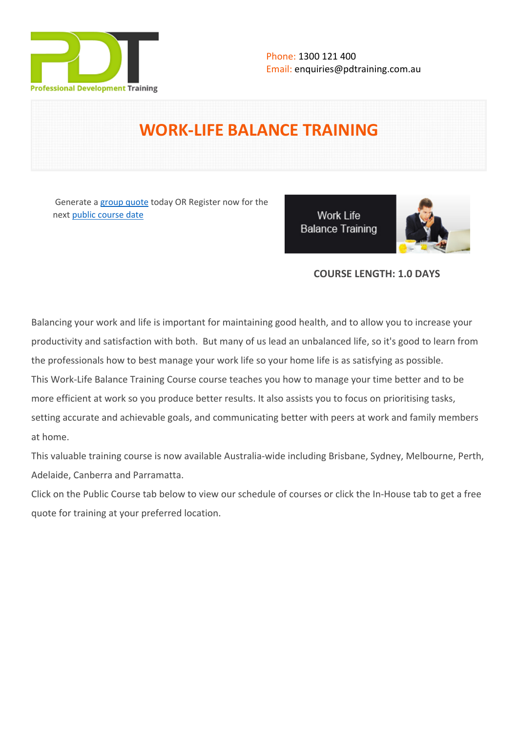

# **WORK-LIFE BALANCE TRAINING**

 Generate a [group quote](https://pdtraining.com.au/inhouse-training-quote?cse=PDU00056) today OR Register now for the next [public course date](https://pdtraining.com.au/booking?schedulecode=LfkBFvhNdgaq9mhcVHTLzPdKV5IYqISc1Js77g3TYEqRwTnCbGzlgBD6cJPKXsyEy7xA4kfPN9X5xvncSgXTjG6Agw4yAs5GgWtzuWI1BTIgNHHQwN2RFOv0a8uIpSouerZMbYR5H6sz8ZWIYobWAo&countryCode=AU¤cyCode=AU)

**Work Life Balance Training** 



# **COURSE LENGTH: 1.0 DAYS**

Balancing your work and life is important for maintaining good health, and to allow you to increase your productivity and satisfaction with both. But many of us lead an unbalanced life, so it's good to learn from the professionals how to best manage your work life so your home life is as satisfying as possible. This Work-Life Balance Training Course course teaches you how to manage your time better and to be more efficient at work so you produce better results. It also assists you to focus on prioritising tasks, setting accurate and achievable goals, and communicating better with peers at work and family members at home.

This valuable training course is now available Australia-wide including Brisbane, Sydney, Melbourne, Perth, Adelaide, Canberra and Parramatta.

Click on the Public Course tab below to view our schedule of courses or click the In-House tab to get a free quote for training at your preferred location.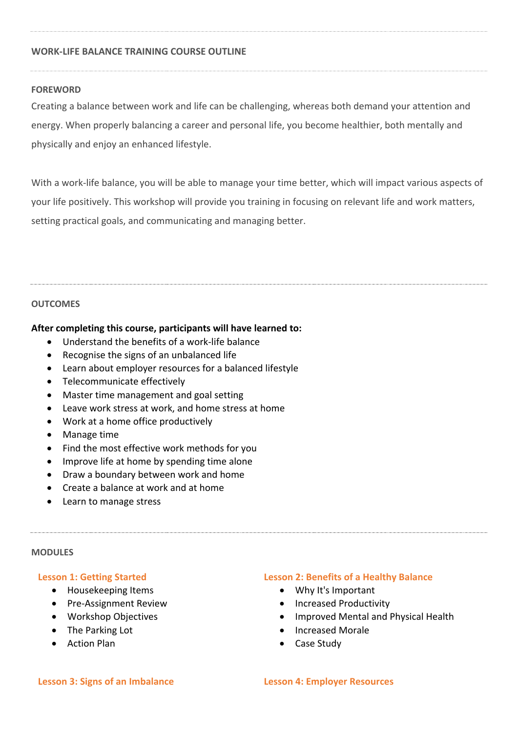#### **WORK-LIFE BALANCE TRAINING COURSE OUTLINE**

#### **FOREWORD**

Creating a balance between work and life can be challenging, whereas both demand your attention and energy. When properly balancing a career and personal life, you become healthier, both mentally and physically and enjoy an enhanced lifestyle.

With a work-life balance, you will be able to manage your time better, which will impact various aspects of your life positively. This workshop will provide you training in focusing on relevant life and work matters, setting practical goals, and communicating and managing better.

#### **OUTCOMES**

#### **After completing this course, participants will have learned to:**

- Understand the benefits of a work-life balance
- Recognise the signs of an unbalanced life
- Learn about employer resources for a balanced lifestyle
- Telecommunicate effectively
- Master time management and goal setting
- Leave work stress at work, and home stress at home
- Work at a home office productively
- Manage time
- Find the most effective work methods for you
- Improve life at home by spending time alone
- Draw a boundary between work and home
- Create a balance at work and at home
- Learn to manage stress

#### **MODULES**

#### **Lesson 1: Getting Started**

- Housekeeping Items
- Pre-Assignment Review
- Workshop Objectives
- The Parking Lot
- **•** Action Plan

#### **Lesson 2: Benefits of a Healthy Balance**

- Why It's Important
- Increased Productivity
- Improved Mental and Physical Health
- Increased Morale
- Case Study